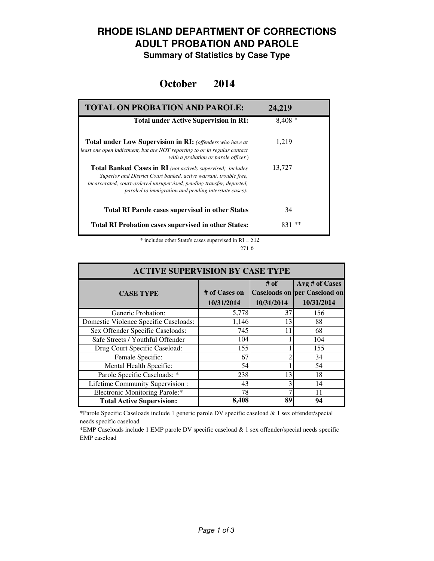### **RHODE ISLAND DEPARTMENT OF CORRECTIONS ADULT PROBATION AND PAROLE**

**Summary of Statistics by Case Type**

#### **October 2014**

| <b>TOTAL ON PROBATION AND PAROLE:</b>                                                                                                                                                                                                                                     | 24,219    |
|---------------------------------------------------------------------------------------------------------------------------------------------------------------------------------------------------------------------------------------------------------------------------|-----------|
| <b>Total under Active Supervision in RI:</b>                                                                                                                                                                                                                              | $8,408*$  |
| <b>Total under Low Supervision in RI:</b> (offenders who have at<br>least one open indictment, but are NOT reporting to or in regular contact<br>with a probation or parole officer)                                                                                      | 1.219     |
| <b>Total Banked Cases in RI</b> (not actively supervised; includes<br>Superior and District Court banked, active warrant, trouble free,<br>incarcerated, court-ordered unsupervised, pending transfer, deported,<br>paroled to immigration and pending interstate cases): | 13,727    |
| <b>Total RI Parole cases supervised in other States</b>                                                                                                                                                                                                                   | 34        |
| <b>Total RI Probation cases supervised in other States:</b>                                                                                                                                                                                                               | **<br>831 |

\* includes other State's cases supervised in RI = 512 6 271

| <b>ACTIVE SUPERVISION BY CASE TYPE</b> |                             |                    |                                                                     |  |  |
|----------------------------------------|-----------------------------|--------------------|---------------------------------------------------------------------|--|--|
| <b>CASE TYPE</b>                       | # of Cases on<br>10/31/2014 | # of<br>10/31/2014 | Avg # of Cases<br><b>Caseloads on per Caseload on</b><br>10/31/2014 |  |  |
| Generic Probation:                     | 5,778                       | 37                 | 156                                                                 |  |  |
| Domestic Violence Specific Caseloads:  | 1,146                       | 13                 | 88                                                                  |  |  |
| Sex Offender Specific Caseloads:       | 745                         | 11                 | 68                                                                  |  |  |
| Safe Streets / Youthful Offender       | 104                         |                    | 104                                                                 |  |  |
| Drug Court Specific Caseload:          | 155                         |                    | 155                                                                 |  |  |
| Female Specific:                       | 67                          |                    | 34                                                                  |  |  |
| Mental Health Specific:                | 54                          |                    | 54                                                                  |  |  |
| Parole Specific Caseloads: *           | 238                         | 13                 | 18                                                                  |  |  |
| Lifetime Community Supervision:        | 43                          | 3                  | 14                                                                  |  |  |
| Electronic Monitoring Parole:*         | 78                          |                    | 11                                                                  |  |  |
| <b>Total Active Supervision:</b>       | 8,408                       | 89                 | 94                                                                  |  |  |

\*Parole Specific Caseloads include 1 generic parole DV specific caseload & 1 sex offender/special needs specific caseload

\*EMP Caseloads include 1 EMP parole DV specific caseload & 1 sex offender/special needs specific EMP caseload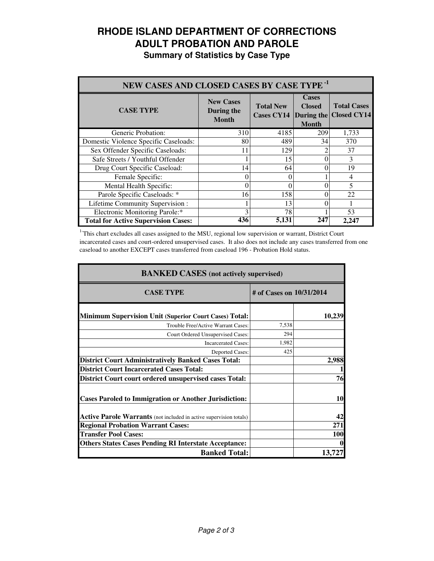# **RHODE ISLAND DEPARTMENT OF CORRECTIONS ADULT PROBATION AND PAROLE**

|  |  | <b>Summary of Statistics by Case Type</b> |  |  |  |
|--|--|-------------------------------------------|--|--|--|
|--|--|-------------------------------------------|--|--|--|

| NEW CASES AND CLOSED CASES BY CASE TYPE <sup>-1</sup> |                                                |                                                  |                                               |                                          |
|-------------------------------------------------------|------------------------------------------------|--------------------------------------------------|-----------------------------------------------|------------------------------------------|
| <b>CASE TYPE</b>                                      | <b>New Cases</b><br>During the<br><b>Month</b> | <b>Total New</b><br><b>Cases CY14</b> During the | <b>Cases</b><br><b>Closed</b><br><b>Month</b> | <b>Total Cases</b><br><b>Closed CY14</b> |
| Generic Probation:                                    | 310                                            | 4185                                             | 209                                           | 1,733                                    |
| Domestic Violence Specific Caseloads:                 | 80                                             | 489                                              | 34                                            | 370                                      |
| Sex Offender Specific Caseloads:                      | 11                                             | 129                                              |                                               | 37                                       |
| Safe Streets / Youthful Offender                      |                                                | 15                                               |                                               | 3                                        |
| Drug Court Specific Caseload:                         | 14                                             | 64                                               |                                               | 19                                       |
| Female Specific:                                      | $\theta$                                       | 0                                                |                                               | 4                                        |
| Mental Health Specific:                               | $\Omega$                                       | 0                                                |                                               | 5                                        |
| Parole Specific Caseloads: *                          | 16                                             | 158                                              |                                               | 22                                       |
| Lifetime Community Supervision:                       |                                                | 13                                               |                                               |                                          |
| Electronic Monitoring Parole:*                        | 3                                              | 78                                               |                                               | 53                                       |
| <b>Total for Active Supervision Cases:</b>            | 436                                            | 5,131                                            | 247                                           | 2,247                                    |

<sup>1</sup>This chart excludes all cases assigned to the MSU, regional low supervision or warrant, District Court incarcerated cases and court-ordered unsupervised cases. It also does not include any cases transferred from one caseload to another EXCEPT cases transferred from caseload 196 - Probation Hold status.

| <b>BANKED CASES</b> (not actively supervised)                      |       |                          |  |
|--------------------------------------------------------------------|-------|--------------------------|--|
| <b>CASE TYPE</b>                                                   |       | # of Cases on 10/31/2014 |  |
| <b>Minimum Supervision Unit (Superior Court Cases) Total:</b>      |       | 10,239                   |  |
| Trouble Free/Active Warrant Cases:                                 | 7,538 |                          |  |
| Court Ordered Unsupervised Cases:                                  | 294   |                          |  |
| <b>Incarcerated Cases:</b>                                         | 1,982 |                          |  |
| <b>Deported Cases:</b>                                             | 425   |                          |  |
| <b>District Court Administratively Banked Cases Total:</b>         |       | 2,988                    |  |
| <b>District Court Incarcerated Cases Total:</b>                    |       |                          |  |
| <b>District Court court ordered unsupervised cases Total:</b>      |       | 76                       |  |
| <b>Cases Paroled to Immigration or Another Jurisdiction:</b>       |       | 10                       |  |
| Active Parole Warrants (not included in active supervision totals) |       | 42                       |  |
| <b>Regional Probation Warrant Cases:</b>                           |       | 271                      |  |
| <b>Transfer Pool Cases:</b>                                        |       | <b>100</b>               |  |
| <b>Others States Cases Pending RI Interstate Acceptance:</b>       |       |                          |  |
| <b>Banked Total:</b>                                               |       | 13.7                     |  |